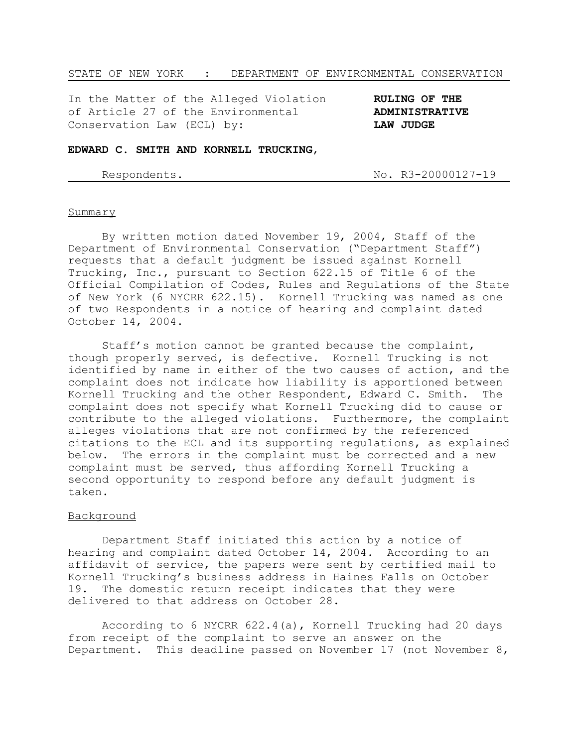## STATE OF NEW YORK : DEPARTMENT OF ENVIRONMENTAL CONSERVATION

In the Matter of the Alleged Violation **RULING OF THE** of Article 27 of the Environmental **ADMINISTRATIVE** Conservation Law (ECL) by: **LAW JUDGE**

## **EDWARD C. SMITH AND KORNELL TRUCKING**,

Respondents. No. R3-20000127-19

#### Summary

By written motion dated November 19, 2004, Staff of the Department of Environmental Conservation ("Department Staff") requests that a default judgment be issued against Kornell Trucking, Inc., pursuant to Section 622.15 of Title 6 of the Official Compilation of Codes, Rules and Regulations of the State of New York (6 NYCRR 622.15). Kornell Trucking was named as one of two Respondents in a notice of hearing and complaint dated October 14, 2004.

Staff's motion cannot be granted because the complaint, though properly served, is defective. Kornell Trucking is not identified by name in either of the two causes of action, and the complaint does not indicate how liability is apportioned between Kornell Trucking and the other Respondent, Edward C. Smith. The complaint does not specify what Kornell Trucking did to cause or contribute to the alleged violations. Furthermore, the complaint alleges violations that are not confirmed by the referenced citations to the ECL and its supporting regulations, as explained below. The errors in the complaint must be corrected and a new complaint must be served, thus affording Kornell Trucking a second opportunity to respond before any default judgment is taken.

# Background

Department Staff initiated this action by a notice of hearing and complaint dated October 14, 2004. According to an affidavit of service, the papers were sent by certified mail to Kornell Trucking's business address in Haines Falls on October 19. The domestic return receipt indicates that they were delivered to that address on October 28.

According to 6 NYCRR 622.4(a), Kornell Trucking had 20 days from receipt of the complaint to serve an answer on the Department. This deadline passed on November 17 (not November 8,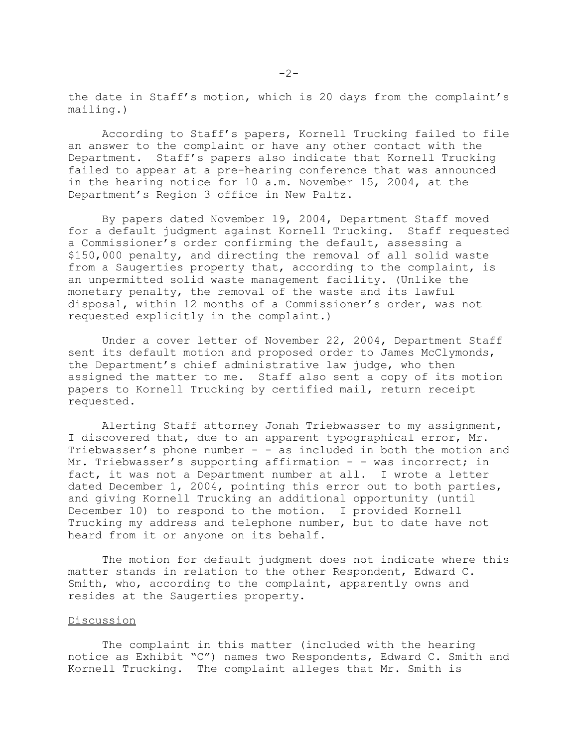the date in Staff's motion, which is 20 days from the complaint's mailing.)

According to Staff's papers, Kornell Trucking failed to file an answer to the complaint or have any other contact with the Department. Staff's papers also indicate that Kornell Trucking failed to appear at a pre-hearing conference that was announced in the hearing notice for 10 a.m. November 15, 2004, at the Department's Region 3 office in New Paltz.

By papers dated November 19, 2004, Department Staff moved for a default judgment against Kornell Trucking. Staff requested a Commissioner's order confirming the default, assessing a \$150,000 penalty, and directing the removal of all solid waste from a Saugerties property that, according to the complaint, is an unpermitted solid waste management facility. (Unlike the monetary penalty, the removal of the waste and its lawful disposal, within 12 months of a Commissioner's order, was not requested explicitly in the complaint.)

Under a cover letter of November 22, 2004, Department Staff sent its default motion and proposed order to James McClymonds, the Department's chief administrative law judge, who then assigned the matter to me. Staff also sent a copy of its motion papers to Kornell Trucking by certified mail, return receipt requested.

Alerting Staff attorney Jonah Triebwasser to my assignment, I discovered that, due to an apparent typographical error, Mr. Triebwasser's phone number - - as included in both the motion and Mr. Triebwasser's supporting affirmation - - was incorrect; in fact, it was not a Department number at all. I wrote a letter dated December 1, 2004, pointing this error out to both parties, and giving Kornell Trucking an additional opportunity (until December 10) to respond to the motion. I provided Kornell Trucking my address and telephone number, but to date have not heard from it or anyone on its behalf.

The motion for default judgment does not indicate where this matter stands in relation to the other Respondent, Edward C. Smith, who, according to the complaint, apparently owns and resides at the Saugerties property.

### Discussion

The complaint in this matter (included with the hearing notice as Exhibit "C") names two Respondents, Edward C. Smith and Kornell Trucking. The complaint alleges that Mr. Smith is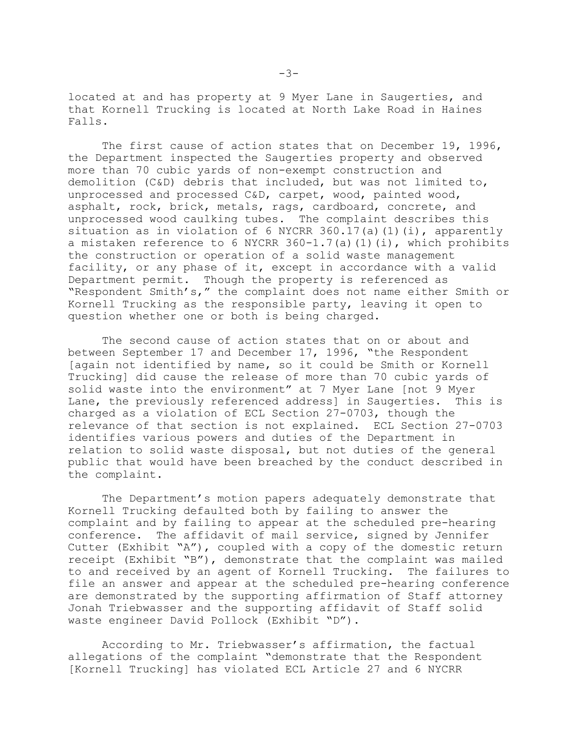located at and has property at 9 Myer Lane in Saugerties, and that Kornell Trucking is located at North Lake Road in Haines Falls.

The first cause of action states that on December 19, 1996, the Department inspected the Saugerties property and observed more than 70 cubic yards of non-exempt construction and demolition (C&D) debris that included, but was not limited to, unprocessed and processed C&D, carpet, wood, painted wood, asphalt, rock, brick, metals, rags, cardboard, concrete, and unprocessed wood caulking tubes. The complaint describes this situation as in violation of 6 NYCRR 360.17(a)(1)(i), apparently a mistaken reference to 6 NYCRR  $360-1.7(a)(1)(i)$ , which prohibits the construction or operation of a solid waste management facility, or any phase of it, except in accordance with a valid Department permit. Though the property is referenced as "Respondent Smith's," the complaint does not name either Smith or Kornell Trucking as the responsible party, leaving it open to question whether one or both is being charged.

The second cause of action states that on or about and between September 17 and December 17, 1996, "the Respondent [again not identified by name, so it could be Smith or Kornell Trucking] did cause the release of more than 70 cubic yards of solid waste into the environment" at 7 Myer Lane [not 9 Myer Lane, the previously referenced address] in Saugerties. This is charged as a violation of ECL Section 27-0703, though the relevance of that section is not explained. ECL Section 27-0703 identifies various powers and duties of the Department in relation to solid waste disposal, but not duties of the general public that would have been breached by the conduct described in the complaint.

The Department's motion papers adequately demonstrate that Kornell Trucking defaulted both by failing to answer the complaint and by failing to appear at the scheduled pre-hearing conference. The affidavit of mail service, signed by Jennifer Cutter (Exhibit "A"), coupled with a copy of the domestic return receipt (Exhibit "B"), demonstrate that the complaint was mailed to and received by an agent of Kornell Trucking. The failures to file an answer and appear at the scheduled pre-hearing conference are demonstrated by the supporting affirmation of Staff attorney Jonah Triebwasser and the supporting affidavit of Staff solid waste engineer David Pollock (Exhibit "D").

According to Mr. Triebwasser's affirmation, the factual allegations of the complaint "demonstrate that the Respondent [Kornell Trucking] has violated ECL Article 27 and 6 NYCRR